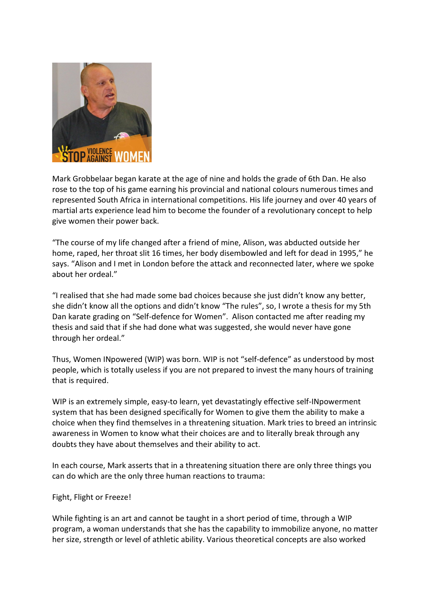

Mark Grobbelaar began karate at the age of nine and holds the grade of 6th Dan. He also rose to the top of his game earning his provincial and national colours numerous times and represented South Africa in international competitions. His life journey and over 40 years of martial arts experience lead him to become the founder of a revolutionary concept to help give women their power back.

"The course of my life changed after a friend of mine, Alison, was abducted outside her home, raped, her throat slit 16 times, her body disembowled and left for dead in 1995," he says. "Alison and I met in London before the attack and reconnected later, where we spoke about her ordeal."

"I realised that she had made some bad choices because she just didn't know any better, she didn't know all the options and didn't know "The rules", so, I wrote a thesis for my 5th Dan karate grading on "Self-defence for Women". Alison contacted me after reading my thesis and said that if she had done what was suggested, she would never have gone through her ordeal."

Thus, Women INpowered (WIP) was born. WIP is not "self-defence" as understood by most people, which is totally useless if you are not prepared to invest the many hours of training that is required.

WIP is an extremely simple, easy-to learn, yet devastatingly effective self-INpowerment system that has been designed specifically for Women to give them the ability to make a choice when they find themselves in a threatening situation. Mark tries to breed an intrinsic awareness in Women to know what their choices are and to literally break through any doubts they have about themselves and their ability to act.

In each course, Mark asserts that in a threatening situation there are only three things you can do which are the only three human reactions to trauma:

## Fight, Flight or Freeze!

While fighting is an art and cannot be taught in a short period of time, through a WIP program, a woman understands that she has the capability to immobilize anyone, no matter her size, strength or level of athletic ability. Various theoretical concepts are also worked